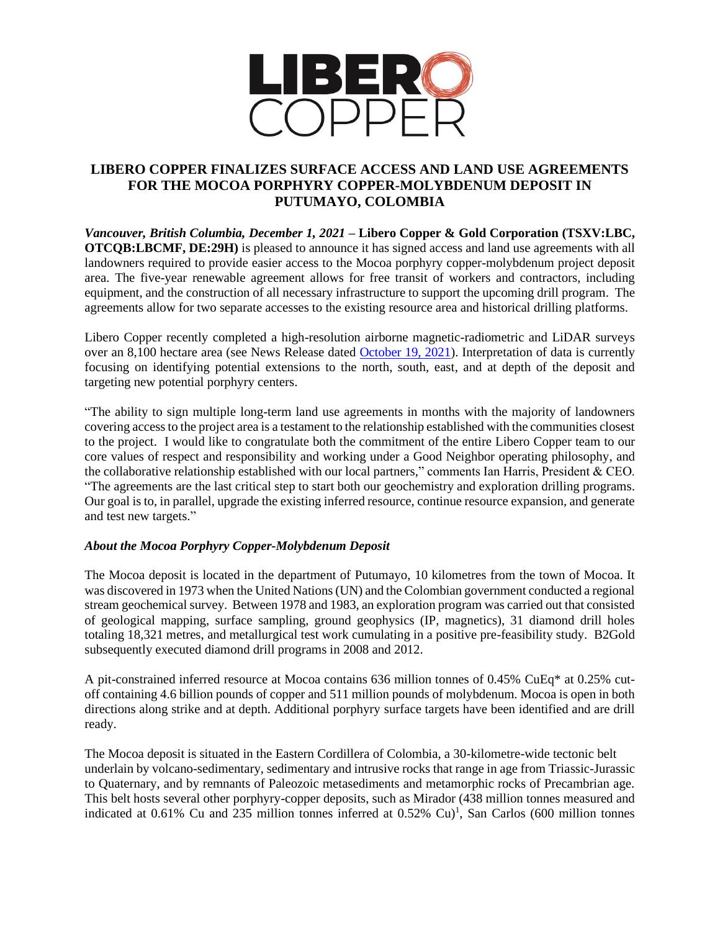

## **LIBERO COPPER FINALIZES SURFACE ACCESS AND LAND USE AGREEMENTS FOR THE MOCOA PORPHYRY COPPER-MOLYBDENUM DEPOSIT IN PUTUMAYO, COLOMBIA**

*Vancouver, British Columbia, December 1, 2021* **– Libero Copper & Gold Corporation (TSXV:LBC, OTCOB:LBCMF, DE:29H**) is pleased to announce it has signed access and land use agreements with all landowners required to provide easier access to the Mocoa porphyry copper-molybdenum project deposit area. The five-year renewable agreement allows for free transit of workers and contractors, including equipment, and the construction of all necessary infrastructure to support the upcoming drill program. The agreements allow for two separate accesses to the existing resource area and historical drilling platforms.

Libero Copper recently completed a high-resolution airborne magnetic-radiometric and LiDAR surveys over an 8,100 hectare area (see News Release dated [October 19, 2021\)](https://www.liberocopper.com/_resources/news/2021/Libero%20-%20NR%20-%20Oct%2019.pdf). Interpretation of data is currently focusing on identifying potential extensions to the north, south, east, and at depth of the deposit and targeting new potential porphyry centers.

"The ability to sign multiple long-term land use agreements in months with the majority of landowners covering access to the project area is a testament to the relationship established with the communities closest to the project. I would like to congratulate both the commitment of the entire Libero Copper team to our core values of respect and responsibility and working under a Good Neighbor operating philosophy, and the collaborative relationship established with our local partners," comments Ian Harris, President & CEO. "The agreements are the last critical step to start both our geochemistry and exploration drilling programs. Our goal is to, in parallel, upgrade the existing inferred resource, continue resource expansion, and generate and test new targets."

## *About the Mocoa Porphyry Copper-Molybdenum Deposit*

The Mocoa deposit is located in the department of Putumayo, 10 kilometres from the town of Mocoa. It was discovered in 1973 when the United Nations (UN) and the Colombian government conducted a regional stream geochemical survey. Between 1978 and 1983, an exploration program was carried out that consisted of geological mapping, surface sampling, ground geophysics (IP, magnetics), 31 diamond drill holes totaling 18,321 metres, and metallurgical test work cumulating in a positive pre-feasibility study. B2Gold subsequently executed diamond drill programs in 2008 and 2012.

A pit-constrained inferred resource at Mocoa contains 636 million tonnes of 0.45% CuEq\* at 0.25% cutoff containing 4.6 billion pounds of copper and 511 million pounds of molybdenum. Mocoa is open in both directions along strike and at depth. Additional porphyry surface targets have been identified and are drill ready.

The Mocoa deposit is situated in the Eastern Cordillera of Colombia, a 30-kilometre-wide tectonic belt underlain by volcano-sedimentary, sedimentary and intrusive rocks that range in age from Triassic-Jurassic to Quaternary, and by remnants of Paleozoic metasediments and metamorphic rocks of Precambrian age. This belt hosts several other porphyry-copper deposits, such as Mirador (438 million tonnes measured and indicated at 0.61% Cu and 235 million tonnes inferred at 0.52% Cu)<sup>1</sup>, San Carlos (600 million tonnes